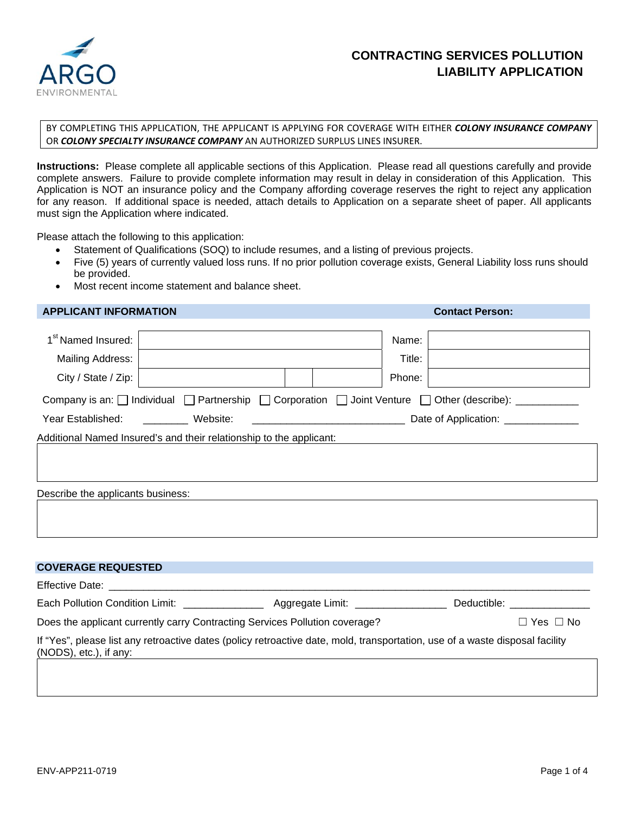

# **CONTRACTING SERVICES POLLUTION LIABILITY APPLICATION**

#### BY COMPLETING THIS APPLICATION, THE APPLICANT IS APPLYING FOR COVERAGE WITH EITHER *COLONY INSURANCE COMPANY* OR *COLONY SPECIALTY INSURANCE COMPANY* AN AUTHORIZED SURPLUS LINES INSURER.

**Instructions:** Please complete all applicable sections of this Application. Please read all questions carefully and provide complete answers. Failure to provide complete information may result in delay in consideration of this Application. This Application is NOT an insurance policy and the Company affording coverage reserves the right to reject any application for any reason. If additional space is needed, attach details to Application on a separate sheet of paper. All applicants must sign the Application where indicated.

Please attach the following to this application:

- Statement of Qualifications (SOQ) to include resumes, and a listing of previous projects.
- Five (5) years of currently valued loss runs. If no prior pollution coverage exists, General Liability loss runs should be provided.
- Most recent income statement and balance sheet.

### **APPLICANT INFORMATION Contact Person:**

|                     |                                                                                    | Title:                                                                                                                                             |                                                                                                                                                                                                                                                                                                                                                                               |
|---------------------|------------------------------------------------------------------------------------|----------------------------------------------------------------------------------------------------------------------------------------------------|-------------------------------------------------------------------------------------------------------------------------------------------------------------------------------------------------------------------------------------------------------------------------------------------------------------------------------------------------------------------------------|
|                     |                                                                                    |                                                                                                                                                    |                                                                                                                                                                                                                                                                                                                                                                               |
|                     |                                                                                    |                                                                                                                                                    |                                                                                                                                                                                                                                                                                                                                                                               |
| Website:            |                                                                                    |                                                                                                                                                    |                                                                                                                                                                                                                                                                                                                                                                               |
|                     |                                                                                    |                                                                                                                                                    |                                                                                                                                                                                                                                                                                                                                                                               |
|                     |                                                                                    |                                                                                                                                                    |                                                                                                                                                                                                                                                                                                                                                                               |
|                     |                                                                                    |                                                                                                                                                    |                                                                                                                                                                                                                                                                                                                                                                               |
|                     |                                                                                    |                                                                                                                                                    |                                                                                                                                                                                                                                                                                                                                                                               |
|                     |                                                                                    |                                                                                                                                                    |                                                                                                                                                                                                                                                                                                                                                                               |
|                     |                                                                                    |                                                                                                                                                    |                                                                                                                                                                                                                                                                                                                                                                               |
|                     |                                                                                    |                                                                                                                                                    |                                                                                                                                                                                                                                                                                                                                                                               |
|                     |                                                                                    |                                                                                                                                                    |                                                                                                                                                                                                                                                                                                                                                                               |
|                     |                                                                                    |                                                                                                                                                    |                                                                                                                                                                                                                                                                                                                                                                               |
|                     |                                                                                    |                                                                                                                                                    |                                                                                                                                                                                                                                                                                                                                                                               |
|                     |                                                                                    |                                                                                                                                                    | Deductible: <b>Example 2019</b>                                                                                                                                                                                                                                                                                                                                               |
|                     |                                                                                    |                                                                                                                                                    | $\Box$ Yes $\Box$ No                                                                                                                                                                                                                                                                                                                                                          |
|                     |                                                                                    |                                                                                                                                                    |                                                                                                                                                                                                                                                                                                                                                                               |
|                     |                                                                                    |                                                                                                                                                    |                                                                                                                                                                                                                                                                                                                                                                               |
| City / State / Zip: | Mailing Address:<br>Describe the applicants business:<br><b>COVERAGE REQUESTED</b> | Additional Named Insured's and their relationship to the applicant:<br>Does the applicant currently carry Contracting Services Pollution coverage? | Name:<br>Phone:<br>Company is an: $\Box$ Individual $\Box$ Partnership $\Box$ Corporation $\Box$ Joint Venture $\Box$ Other (describe): __________<br>Each Pollution Condition Limit: ____________________ Aggregate Limit: _________________<br>If "Yes", please list any retroactive dates (policy retroactive date, mold, transportation, use of a waste disposal facility |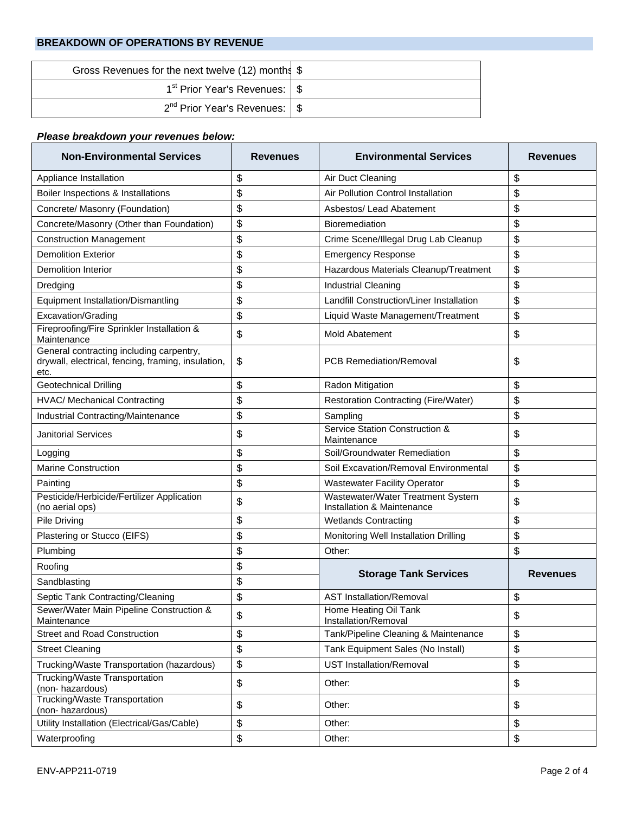### **BREAKDOWN OF OPERATIONS BY REVENUE**

| Gross Revenues for the next twelve (12) months \$ |  |
|---------------------------------------------------|--|
| 1 <sup>st</sup> Prior Year's Revenues: \ \$       |  |
| $2^{nd}$ Prior Year's Revenues: $\frac{1}{3}$     |  |

# *Please breakdown your revenues below:*

| <b>Non-Environmental Services</b>                                                                      | <b>Revenues</b> | <b>Environmental Services</b>                                   | <b>Revenues</b> |
|--------------------------------------------------------------------------------------------------------|-----------------|-----------------------------------------------------------------|-----------------|
| Appliance Installation                                                                                 | \$              | Air Duct Cleaning                                               | \$              |
| Boiler Inspections & Installations                                                                     | \$              | Air Pollution Control Installation                              | \$              |
| Concrete/ Masonry (Foundation)                                                                         | \$              | Asbestos/ Lead Abatement                                        | \$              |
| Concrete/Masonry (Other than Foundation)                                                               | \$              | Bioremediation                                                  | \$              |
| <b>Construction Management</b>                                                                         | \$              | Crime Scene/Illegal Drug Lab Cleanup                            | \$              |
| <b>Demolition Exterior</b>                                                                             | \$              | <b>Emergency Response</b>                                       | \$              |
| <b>Demolition Interior</b>                                                                             | \$              | Hazardous Materials Cleanup/Treatment                           | \$              |
| Dredging                                                                                               | \$              | <b>Industrial Cleaning</b>                                      | \$              |
| <b>Equipment Installation/Dismantling</b>                                                              | \$              | Landfill Construction/Liner Installation                        | \$              |
| Excavation/Grading                                                                                     | \$              | Liquid Waste Management/Treatment                               | \$              |
| Fireproofing/Fire Sprinkler Installation &<br>Maintenance                                              | \$              | <b>Mold Abatement</b>                                           | \$              |
| General contracting including carpentry,<br>drywall, electrical, fencing, framing, insulation,<br>etc. | \$              | <b>PCB Remediation/Removal</b>                                  | \$              |
| <b>Geotechnical Drilling</b>                                                                           | \$              | Radon Mitigation                                                | \$              |
| <b>HVAC/ Mechanical Contracting</b>                                                                    | \$              | Restoration Contracting (Fire/Water)                            | \$              |
| Industrial Contracting/Maintenance                                                                     | \$              | Sampling                                                        | \$              |
| <b>Janitorial Services</b>                                                                             | \$              | Service Station Construction &<br>Maintenance                   | \$              |
| Logging                                                                                                | \$              | Soil/Groundwater Remediation                                    | \$              |
| <b>Marine Construction</b>                                                                             | \$              | Soil Excavation/Removal Environmental                           | \$              |
| Painting                                                                                               | \$              | <b>Wastewater Facility Operator</b>                             | \$              |
| Pesticide/Herbicide/Fertilizer Application<br>(no aerial ops)                                          | \$              | Wastewater/Water Treatment System<br>Installation & Maintenance | \$              |
| <b>Pile Driving</b>                                                                                    | \$              | <b>Wetlands Contracting</b>                                     | \$              |
| Plastering or Stucco (EIFS)                                                                            | \$              | Monitoring Well Installation Drilling                           | \$              |
| Plumbing                                                                                               | \$              | Other:                                                          | \$              |
| Roofing                                                                                                | \$              | <b>Storage Tank Services</b>                                    | <b>Revenues</b> |
| Sandblasting                                                                                           | \$              |                                                                 |                 |
| Septic Tank Contracting/Cleaning                                                                       | \$              | <b>AST Installation/Removal</b>                                 | \$              |
| Sewer/Water Main Pipeline Construction &<br>Maintenance                                                | \$              | Home Heating Oil Tank<br>Installation/Removal                   | \$              |
| <b>Street and Road Construction</b>                                                                    | \$              | Tank/Pipeline Cleaning & Maintenance                            | \$              |
| <b>Street Cleaning</b>                                                                                 | \$              | Tank Equipment Sales (No Install)                               | \$              |
| Trucking/Waste Transportation (hazardous)                                                              | \$              | <b>UST Installation/Removal</b>                                 | \$              |
| Trucking/Waste Transportation<br>(non-hazardous)                                                       | \$              | Other:                                                          | \$              |
| Trucking/Waste Transportation<br>(non-hazardous)                                                       | \$              | Other:                                                          | \$              |
| Utility Installation (Electrical/Gas/Cable)                                                            | \$              | Other:                                                          | \$              |
| Waterproofing                                                                                          | \$              | Other:                                                          | \$              |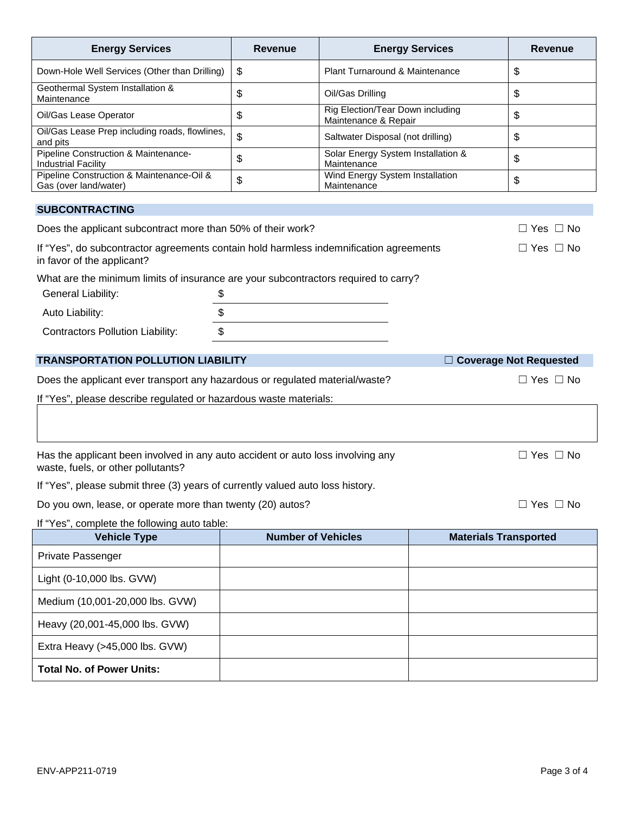| <b>Energy Services</b>                                                                                               | <b>Revenue</b> | <b>Energy Services</b>                                   | <b>Revenue</b>                |
|----------------------------------------------------------------------------------------------------------------------|----------------|----------------------------------------------------------|-------------------------------|
| Down-Hole Well Services (Other than Drilling)                                                                        | \$             | Plant Turnaround & Maintenance                           | \$                            |
| Geothermal System Installation &<br>Maintenance                                                                      | \$             | Oil/Gas Drilling                                         | \$                            |
| Oil/Gas Lease Operator                                                                                               | \$             | Rig Election/Tear Down including<br>Maintenance & Repair | \$                            |
| Oil/Gas Lease Prep including roads, flowlines,<br>and pits                                                           | \$             | Saltwater Disposal (not drilling)                        | \$                            |
| Pipeline Construction & Maintenance-<br><b>Industrial Facility</b>                                                   | \$             | Solar Energy System Installation &<br>Maintenance        | \$                            |
| Pipeline Construction & Maintenance-Oil &<br>Gas (over land/water)                                                   | \$             | Wind Energy System Installation<br>Maintenance           | \$                            |
| <b>SUBCONTRACTING</b>                                                                                                |                |                                                          |                               |
| Does the applicant subcontract more than 50% of their work?                                                          |                |                                                          | $\Box$ Yes $\Box$ No          |
| If "Yes", do subcontractor agreements contain hold harmless indemnification agreements<br>in favor of the applicant? |                |                                                          | $\Box$ Yes $\Box$ No          |
| What are the minimum limits of insurance are your subcontractors required to carry?                                  |                |                                                          |                               |
| General Liability:<br>\$                                                                                             |                |                                                          |                               |
| \$<br>Auto Liability:                                                                                                |                |                                                          |                               |
| $\boldsymbol{\mathsf{S}}$<br><b>Contractors Pollution Liability:</b>                                                 |                |                                                          |                               |
| <b>TRANSPORTATION POLLUTION LIABILITY</b>                                                                            |                |                                                          | $\Box$ Coverage Not Requested |
| Does the applicant ever transport any hazardous or regulated material/waste?                                         |                |                                                          | $\Box$ Yes $\Box$ No          |
| If "Yes", please describe regulated or hazardous waste materials:                                                    |                |                                                          |                               |
|                                                                                                                      |                |                                                          |                               |

Has the applicant been involved in any auto accident or auto loss involving any □ △ Yes □ No waste, fuels, or other pollutants?

If "Yes", please submit three (3) years of currently valued auto loss history.

Do you own, lease, or operate more than twenty (20) autos? □ □ □ □ □ □ □ □ □ □ △ Yes □ No

If "Yes", complete the following auto table:

| <b>Vehicle Type</b>              | <b>Number of Vehicles</b> | <b>Materials Transported</b> |
|----------------------------------|---------------------------|------------------------------|
| Private Passenger                |                           |                              |
| Light (0-10,000 lbs. GVW)        |                           |                              |
| Medium (10,001-20,000 lbs. GVW)  |                           |                              |
| Heavy (20,001-45,000 lbs. GVW)   |                           |                              |
| Extra Heavy (>45,000 lbs. GVW)   |                           |                              |
| <b>Total No. of Power Units:</b> |                           |                              |